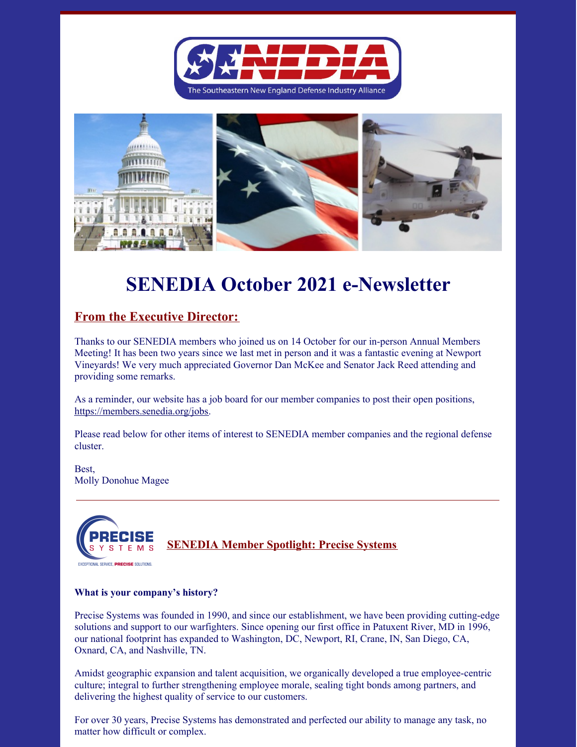



# **SENEDIA October 2021 e-Newsletter**

## **From the Executive Director:**

Thanks to our SENEDIA members who joined us on 14 October for our in-person Annual Members Meeting! It has been two years since we last met in person and it was a fantastic evening at Newport Vineyards! We very much appreciated Governor Dan McKee and Senator Jack Reed attending and providing some remarks.

As a reminder, our website has a job board for our member companies to post their open positions, <https://members.senedia.org/jobs>.

Please read below for other items of interest to SENEDIA member companies and the regional defense cluster.

Best, Molly Donohue Magee



#### **What is your company's history?**

Precise Systems was founded in 1990, and since our establishment, we have been providing cutting-edge solutions and support to our warfighters. Since opening our first office in Patuxent River, MD in 1996, our national footprint has expanded to Washington, DC, Newport, RI, Crane, IN, San Diego, CA, Oxnard, CA, and Nashville, TN.

Amidst geographic expansion and talent acquisition, we organically developed a true employee-centric culture; integral to further strengthening employee morale, sealing tight bonds among partners, and delivering the highest quality of service to our customers.

For over 30 years, Precise Systems has demonstrated and perfected our ability to manage any task, no matter how difficult or complex.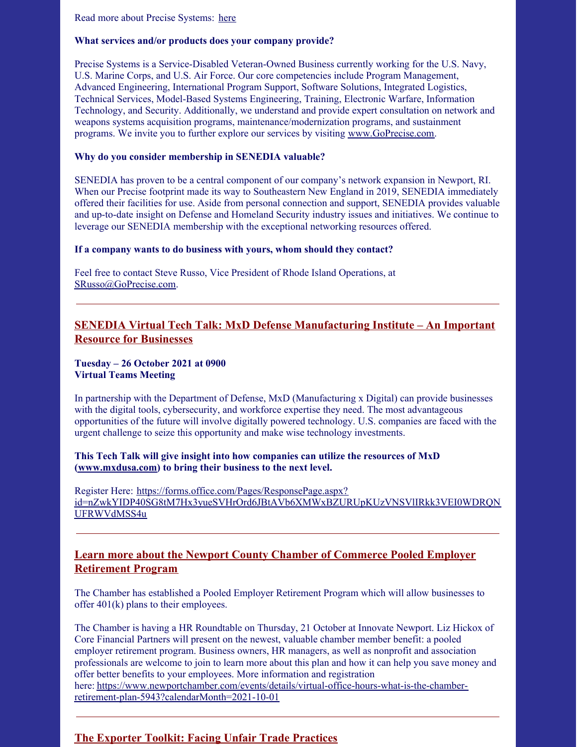Read more about Precise Systems: [here](https://www.senedia.org/senedia-member-spotlight-precise-systems/)

#### **What services and/or products does your company provide?**

Precise Systems is a Service-Disabled Veteran-Owned Business currently working for the U.S. Navy, U.S. Marine Corps, and U.S. Air Force. Our core competencies include Program Management, Advanced Engineering, International Program Support, Software Solutions, Integrated Logistics, Technical Services, Model-Based Systems Engineering, Training, Electronic Warfare, Information Technology, and Security. Additionally, we understand and provide expert consultation on network and weapons systems acquisition programs, maintenance/modernization programs, and sustainment programs. We invite you to further explore our services by visiting [www.GoPrecise.com](http://www.goprecise.com/).

## **Why do you consider membership in SENEDIA valuable?**

SENEDIA has proven to be a central component of our company's network expansion in Newport, RI. When our Precise footprint made its way to Southeastern New England in 2019, SENEDIA immediately offered their facilities for use. Aside from personal connection and support, SENEDIA provides valuable and up-to-date insight on Defense and Homeland Security industry issues and initiatives. We continue to leverage our SENEDIA membership with the exceptional networking resources offered.

## **If a company wants to do business with yours, whom should they contact?**

Feel free to contact Steve Russo, Vice President of Rhode Island Operations, at [SRusso@GoPrecise.com](mailto:SRusso@GoPrecise.com).

## **SENEDIA Virtual Tech Talk: MxD Defense Manufacturing Institute – An Important Resource for Businesses**

## **Tuesday – 26 October 2021 at 0900 Virtual Teams Meeting**

In partnership with the Department of Defense, MxD (Manufacturing x Digital) can provide businesses with the digital tools, cybersecurity, and workforce expertise they need. The most advantageous opportunities of the future will involve digitally powered technology. U.S. companies are faced with the urgent challenge to seize this opportunity and make wise technology investments.

## **This Tech Talk will give insight into how companies can utilize the resources of MxD ([www.mxdusa.com](http://www.mxdusa.com)) to bring their business to the next level.**

Register Here: https://forms.office.com/Pages/ResponsePage.aspx? [id=nZwkYIDP40SG8tM7Hx3yueSVHrOrd6JBtAVb6XMWxBZURUpKUzVNSVlIRkk3VEI0WDRQN](https://forms.office.com/Pages/ResponsePage.aspx?id=nZwkYIDP40SG8tM7Hx3yueSVHrOrd6JBtAVb6XMWxBZURUpKUzVNSVlIRkk3VEI0WDRQNUFRWVdMSS4u) UFRWVdMSS4u

## **Learn more about the Newport County Chamber of Commerce Pooled Employer Retirement Program**

The Chamber has established a Pooled Employer Retirement Program which will allow businesses to offer 401(k) plans to their employees.

The Chamber is having a HR Roundtable on Thursday, 21 October at Innovate Newport. Liz Hickox of Core Financial Partners will present on the newest, valuable chamber member benefit: a pooled employer retirement program. Business owners, HR managers, as well as nonprofit and association professionals are welcome to join to learn more about this plan and how it can help you save money and offer better benefits to your employees. More information and registration here: [https://www.newportchamber.com/events/details/virtual-office-hours-what-is-the-chamber](https://www.newportchamber.com/events/details/virtual-office-hours-what-is-the-chamber-retirement-plan-5943?calendarMonth=2021-10-01)retirement-plan-5943?calendarMonth=2021-10-01

## **The Exporter Toolkit: Facing Unfair Trade Practices**